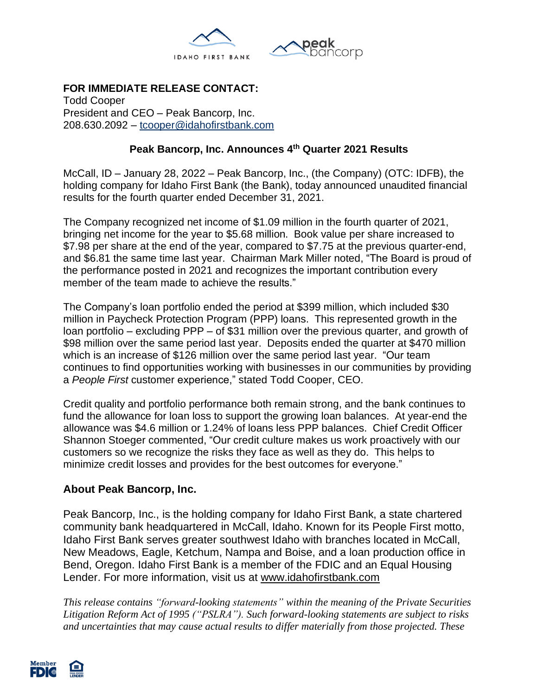

# **FOR IMMEDIATE RELEASE CONTACT:**

Todd Cooper President and CEO – Peak Bancorp, Inc. 208.630.2092 – [tcooper@idahofirstbank.com](mailto:tcooper@idahofirstbank.com)

### **Peak Bancorp, Inc. Announces 4 th Quarter 2021 Results**

McCall, ID – January 28, 2022 – Peak Bancorp, Inc., (the Company) (OTC: IDFB), the holding company for Idaho First Bank (the Bank), today announced unaudited financial results for the fourth quarter ended December 31, 2021.

The Company recognized net income of \$1.09 million in the fourth quarter of 2021, bringing net income for the year to \$5.68 million. Book value per share increased to \$7.98 per share at the end of the year, compared to \$7.75 at the previous quarter-end, and \$6.81 the same time last year. Chairman Mark Miller noted, "The Board is proud of the performance posted in 2021 and recognizes the important contribution every member of the team made to achieve the results."

The Company's loan portfolio ended the period at \$399 million, which included \$30 million in Paycheck Protection Program (PPP) loans. This represented growth in the loan portfolio – excluding PPP – of \$31 million over the previous quarter, and growth of \$98 million over the same period last year. Deposits ended the quarter at \$470 million which is an increase of \$126 million over the same period last year. "Our team continues to find opportunities working with businesses in our communities by providing a *People First* customer experience," stated Todd Cooper, CEO.

Credit quality and portfolio performance both remain strong, and the bank continues to fund the allowance for loan loss to support the growing loan balances. At year-end the allowance was \$4.6 million or 1.24% of loans less PPP balances. Chief Credit Officer Shannon Stoeger commented, "Our credit culture makes us work proactively with our customers so we recognize the risks they face as well as they do. This helps to minimize credit losses and provides for the best outcomes for everyone."

### **About Peak Bancorp, Inc.**

Peak Bancorp, Inc., is the holding company for Idaho First Bank, a state chartered community bank headquartered in McCall, Idaho. Known for its People First motto, Idaho First Bank serves greater southwest Idaho with branches located in McCall, New Meadows, Eagle, Ketchum, Nampa and Boise, and a loan production office in Bend, Oregon. Idaho First Bank is a member of the FDIC and an Equal Housing Lender. For more information, visit us at [www.idahofirstbank.com](http://www.idahofirstbank.com/)

*This release contains "forward-looking statements" within the meaning of the Private Securities Litigation Reform Act of 1995 ("PSLRA"). Such forward-looking statements are subject to risks and uncertainties that may cause actual results to differ materially from those projected. These*

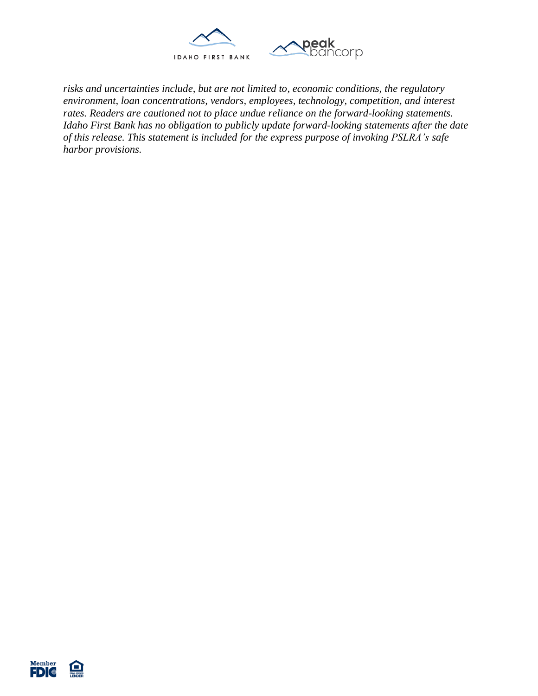

*risks and uncertainties include, but are not limited to, economic conditions, the regulatory environment, loan concentrations, vendors, employees, technology, competition, and interest rates. Readers are cautioned not to place undue reliance on the forward-looking statements. Idaho First Bank has no obligation to publicly update forward-looking statements after the date of this release. This statement is included for the express purpose of invoking PSLRA's safe harbor provisions.*

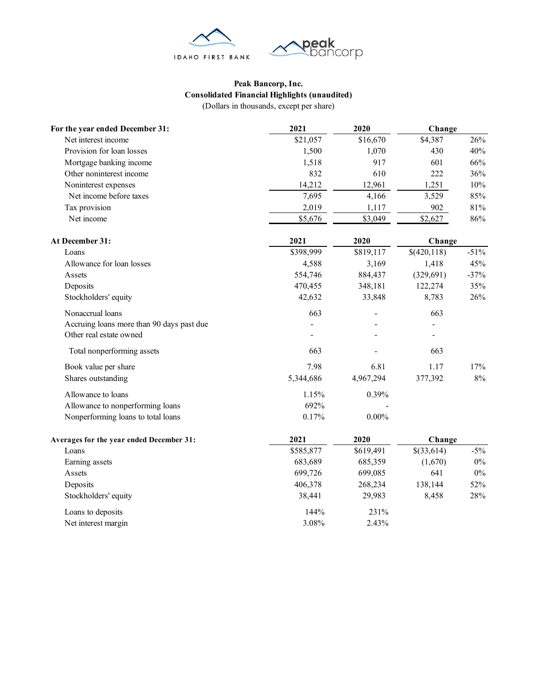

#### **Peak Bancorp, Inc. Consolidated Financial Highlights (unaudited)** (Dollars in thousands, except per share)

| For the year ended December 31:           | 2021         | 2020      | Change      |        |  |
|-------------------------------------------|--------------|-----------|-------------|--------|--|
| Net interest income                       | \$21,057     | \$16,670  | \$4,387     | 26%    |  |
| Provision for loan losses                 | 1,500        | 1,070     | 430         | 40%    |  |
| Mortgage banking income                   | 1,518        | 917       | 601         | 66%    |  |
| Other noninterest income                  | 832          | 610       | 222         | 36%    |  |
| Noninterest expenses                      | 14,212       | 12,961    | 1,251       | 10%    |  |
| Net income before taxes                   | 7,695        | 4,166     | 3,529       | 85%    |  |
| Tax provision                             | 2,019        | 1,117     | 902         | 81%    |  |
| Net income                                | \$5,676      | \$3,049   | \$2,627     | 86%    |  |
| At December 31:                           | 2021<br>2020 |           | Change      |        |  |
| Loans                                     | \$398,999    | \$819,117 | \$(420,118) | $-51%$ |  |
| Allowance for loan losses                 | 4,588        | 3,169     | 1,418       | 45%    |  |
| Assets                                    | 554,746      | 884,437   | (329, 691)  | $-37%$ |  |
| Deposits                                  | 470,455      | 348,181   | 122,274     | 35%    |  |
| Stockholders' equity                      | 42,632       | 33,848    | 8,783       | 26%    |  |
| Nonaccrual loans                          | 663          |           | 663         |        |  |
| Accruing loans more than 90 days past due |              |           |             |        |  |
| Other real estate owned                   |              |           |             |        |  |
| Total nonperforming assets                | 663          |           | 663         |        |  |
| Book value per share                      | 7.98         | 6.81      | 1.17        | 17%    |  |
| Shares outstanding                        | 5,344,686    | 4,967,294 | 377,392     | 8%     |  |
| Allowance to loans                        | 1.15%        | 0.39%     |             |        |  |
| Allowance to nonperforming loans          | 692%         |           |             |        |  |
| Nonperforming loans to total loans        | 0.17%        | $0.00\%$  |             |        |  |
| Averages for the year ended December 31:  | 2021         | 2020      |             | Change |  |
| Loans                                     | \$585,877    | \$619,491 | \$(33,614)  | $-5\%$ |  |
| Earning assets                            | 683,689      | 685,359   | (1,670)     | $0\%$  |  |
| Assets                                    | 699,726      | 699,085   | 641         | $0\%$  |  |
| Deposits                                  | 406,378      | 268,234   | 138,144     | 52%    |  |
| Stockholders' equity                      | 38,441       | 29,983    | 8,458       | 28%    |  |
| Loans to deposits                         | 144%         | 231%      |             |        |  |
| Net interest margin                       | 3.08%        | 2.43%     |             |        |  |